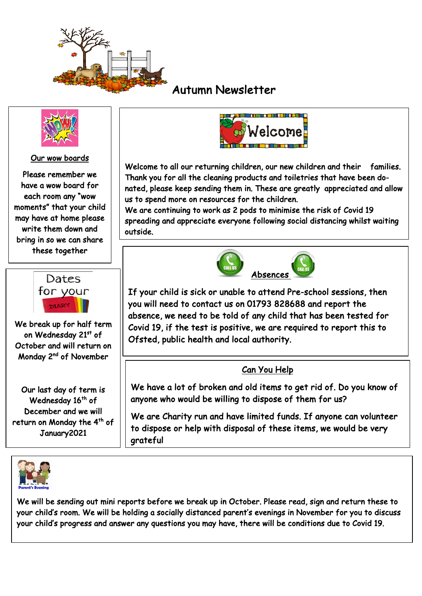

Ξ

# Autumn Newsletter



#### Our wow boards

Please remember we have a wow board for each room any "wow moments" that your child may have at home please write them down and bring in so we can share these together



We break up for half term on Wednesday 21st of October and will return on Monday 2nd of November

Our last day of term is Wednesday 16<sup>th</sup> of December and we will return on Monday the 4<sup>th</sup> of January2021





Welcome to all our returning children, our new children and their families. Thank you for all the cleaning products and toiletries that have been donated, please keep sending them in. These are greatly appreciated and allow us to spend more on resources for the children.

We are continuing to work as 2 pods to minimise the risk of Covid 19 spreading and appreciate everyone following social distancing whilst waiting outside.



If your child is sick or unable to attend Pre-school sessions, then you will need to contact us on 01793 828688 and report the absence, we need to be told of any child that has been tested for Covid 19, if the test is positive, we are required to report this to Ofsted, public health and local authority.

#### Can You Help

We have a lot of broken and old items to get rid of. Do you know of anyone who would be willing to dispose of them for us?

We are Charity run and have limited funds. If anyone can volunteer to dispose or help with disposal of these items, we would be very grateful

We will be sending out mini reports before we break up in October. Please read, sign and return these to your child's room. We will be holding a socially distanced parent's evenings in November for you to discuss your child's progress and answer any questions you may have, there will be conditions due to Covid 19.